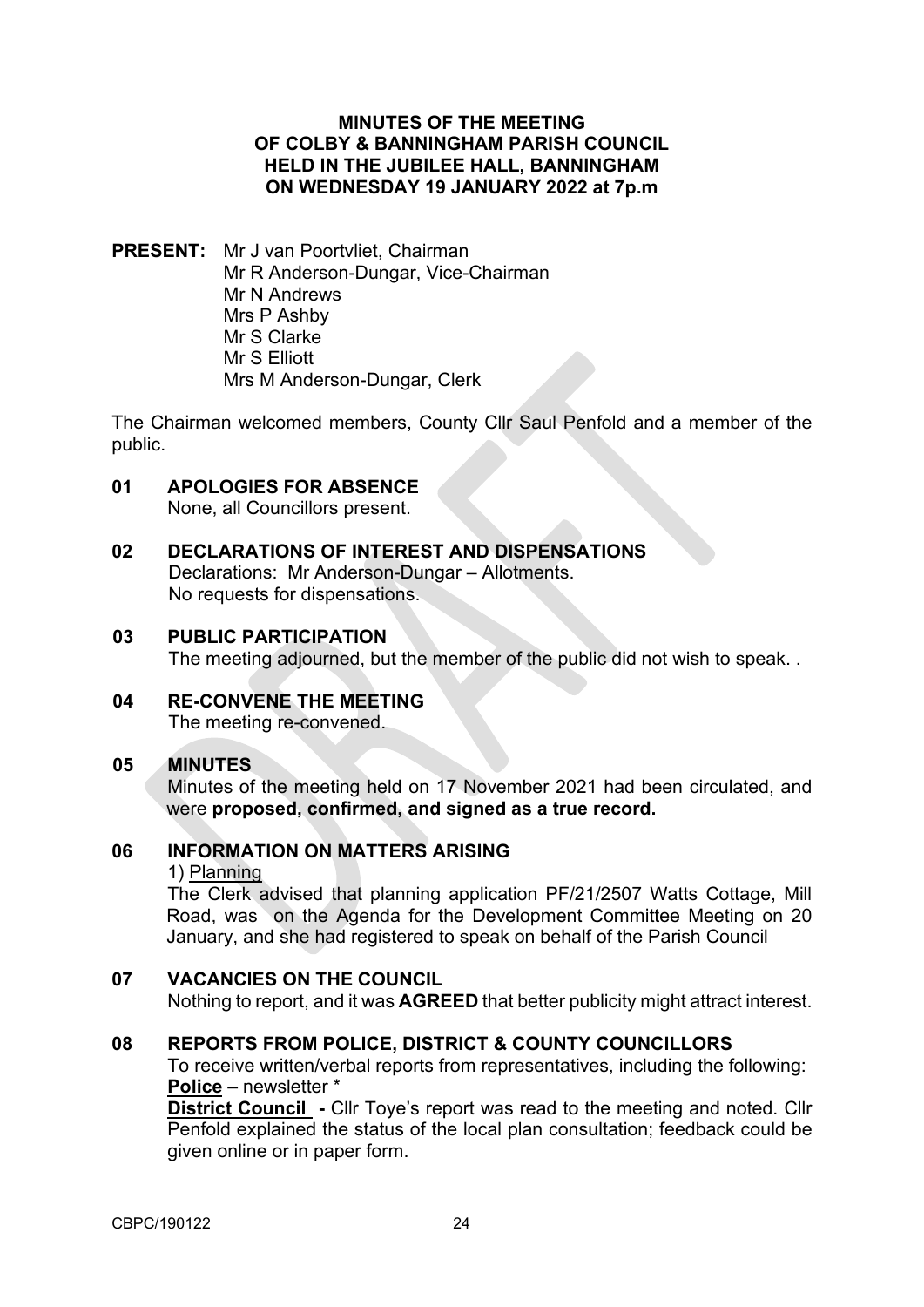### **MINUTES OF THE MEETING OF COLBY & BANNINGHAM PARISH COUNCIL HELD IN THE JUBILEE HALL, BANNINGHAM ON WEDNESDAY 19 JANUARY 2022 at 7p.m**

**PRESENT:** Mr J van Poortvliet, Chairman Mr R Anderson-Dungar, Vice-Chairman Mr N Andrews Mrs P Ashby Mr S Clarke Mr S Elliott Mrs M Anderson-Dungar, Clerk

The Chairman welcomed members, County Cllr Saul Penfold and a member of the public.

# **01 APOLOGIES FOR ABSENCE**

None, all Councillors present.

**02 DECLARATIONS OF INTEREST AND DISPENSATIONS** Declarations: Mr Anderson-Dungar – Allotments. No requests for dispensations.

#### **03 PUBLIC PARTICIPATION**

The meeting adjourned, but the member of the public did not wish to speak. .

**04 RE-CONVENE THE MEETING** The meeting re-convened.

### **05 MINUTES**

Minutes of the meeting held on 17 November 2021 had been circulated, and were **proposed, confirmed, and signed as a true record.** 

### **06 INFORMATION ON MATTERS ARISING**

1) Planning

The Clerk advised that planning application PF/21/2507 Watts Cottage, Mill Road, was on the Agenda for the Development Committee Meeting on 20 January, and she had registered to speak on behalf of the Parish Council

### **07 VACANCIES ON THE COUNCIL**

Nothing to report, and it was **AGREED** that better publicity might attract interest.

### **08 REPORTS FROM POLICE, DISTRICT & COUNTY COUNCILLORS**

To receive written/verbal reports from representatives, including the following: **Police** – newsletter \*

**District Council -** Cllr Toye's report was read to the meeting and noted. Cllr Penfold explained the status of the local plan consultation; feedback could be given online or in paper form.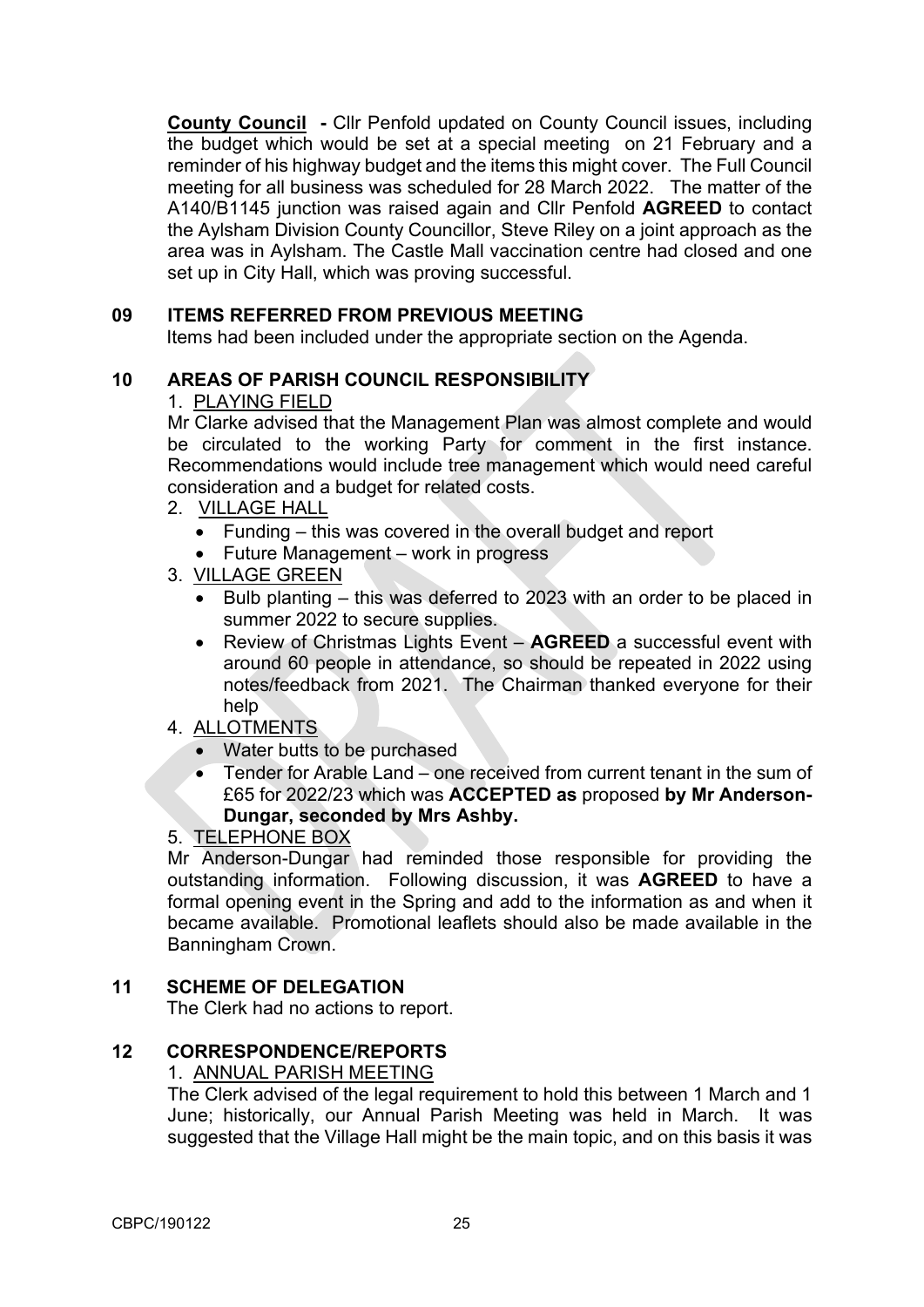**County Council -** Cllr Penfold updated on County Council issues, including the budget which would be set at a special meeting on 21 February and a reminder of his highway budget and the items this might cover. The Full Council meeting for all business was scheduled for 28 March 2022. The matter of the A140/B1145 junction was raised again and Cllr Penfold **AGREED** to contact the Aylsham Division County Councillor, Steve Riley on a joint approach as the area was in Aylsham. The Castle Mall vaccination centre had closed and one set up in City Hall, which was proving successful.

### **09 ITEMS REFERRED FROM PREVIOUS MEETING**

Items had been included under the appropriate section on the Agenda.

# **10 AREAS OF PARISH COUNCIL RESPONSIBILITY**

### 1. PLAYING FIELD

Mr Clarke advised that the Management Plan was almost complete and would be circulated to the working Party for comment in the first instance. Recommendations would include tree management which would need careful consideration and a budget for related costs.

- 2. VILLAGE HALL
	- Funding this was covered in the overall budget and report
	- Future Management work in progress
- 3. VILLAGE GREEN
	- Bulb planting this was deferred to 2023 with an order to be placed in summer 2022 to secure supplies.
	- Review of Christmas Lights Event **AGREED** a successful event with around 60 people in attendance, so should be repeated in 2022 using notes/feedback from 2021. The Chairman thanked everyone for their help

# 4. ALLOTMENTS

- Water butts to be purchased
- Tender for Arable Land one received from current tenant in the sum of £65 for 2022/23 which was **ACCEPTED as** proposed **by Mr Anderson-Dungar, seconded by Mrs Ashby.**

### 5. TELEPHONE BOX

Mr Anderson-Dungar had reminded those responsible for providing the outstanding information. Following discussion, it was **AGREED** to have a formal opening event in the Spring and add to the information as and when it became available. Promotional leaflets should also be made available in the Banningham Crown.

### **11 SCHEME OF DELEGATION**

The Clerk had no actions to report.

### **12 CORRESPONDENCE/REPORTS**

### 1. ANNUAL PARISH MEETING

The Clerk advised of the legal requirement to hold this between 1 March and 1 June; historically, our Annual Parish Meeting was held in March. It was suggested that the Village Hall might be the main topic, and on this basis it was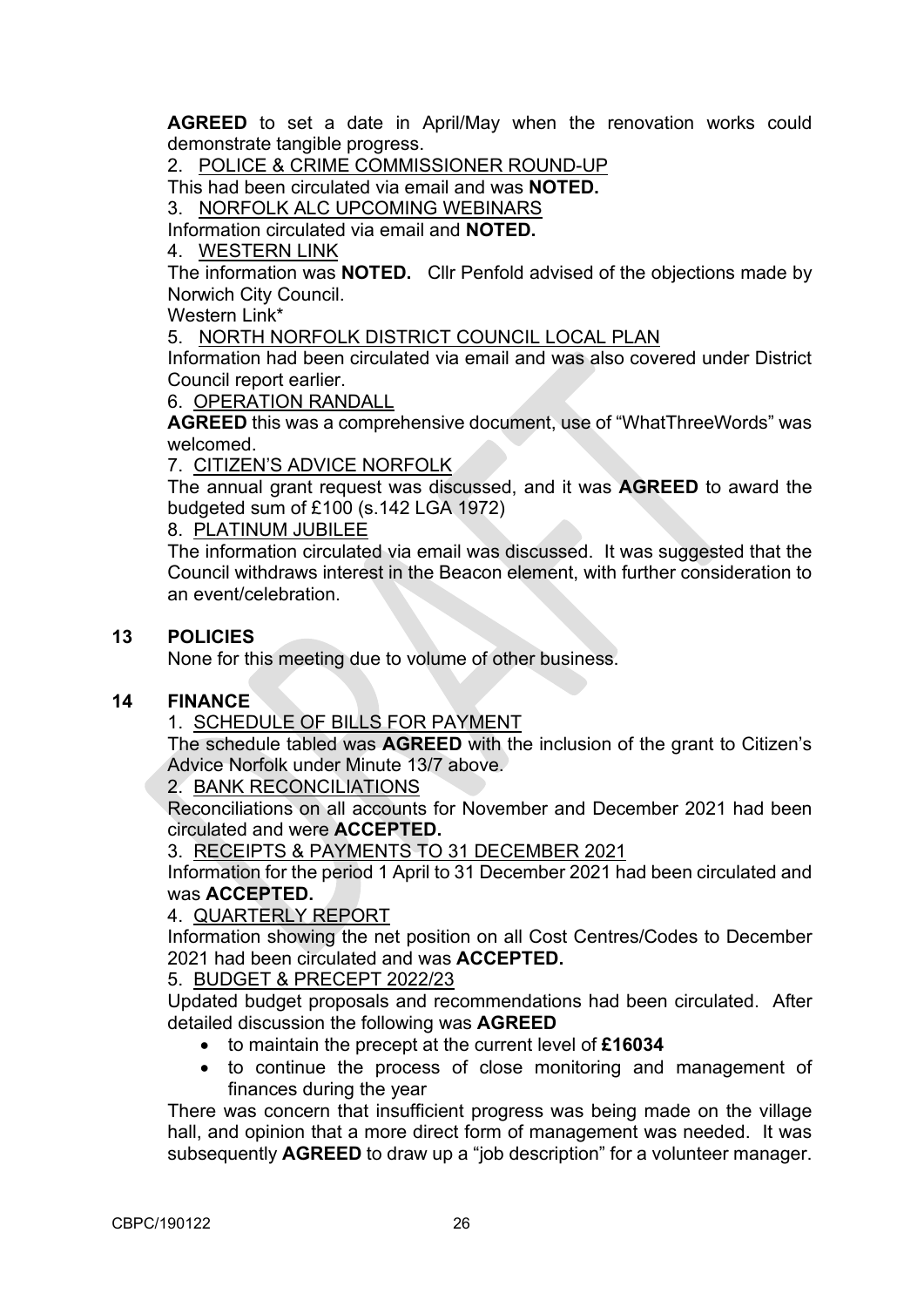**AGREED** to set a date in April/May when the renovation works could demonstrate tangible progress.

2. POLICE & CRIME COMMISSIONER ROUND-UP

This had been circulated via email and was **NOTED.**

3. NORFOLK ALC UPCOMING WEBINARS

Information circulated via email and **NOTED.** 

### 4. WESTERN LINK

The information was **NOTED.** Cllr Penfold advised of the objections made by Norwich City Council.

Western Link\*

5. NORTH NORFOLK DISTRICT COUNCIL LOCAL PLAN

Information had been circulated via email and was also covered under District Council report earlier.

6. OPERATION RANDALL

**AGREED** this was a comprehensive document, use of "WhatThreeWords" was welcomed.

7. CITIZEN'S ADVICE NORFOLK

The annual grant request was discussed, and it was **AGREED** to award the budgeted sum of £100 (s.142 LGA 1972)

8. PLATINUM JUBILEE

The information circulated via email was discussed. It was suggested that the Council withdraws interest in the Beacon element, with further consideration to an event/celebration.

### **13 POLICIES**

None for this meeting due to volume of other business.

### **14 FINANCE**

1. SCHEDULE OF BILLS FOR PAYMENT

The schedule tabled was **AGREED** with the inclusion of the grant to Citizen's Advice Norfolk under Minute 13/7 above.

2. BANK RECONCILIATIONS

Reconciliations on all accounts for November and December 2021 had been circulated and were **ACCEPTED.**

3. RECEIPTS & PAYMENTS TO 31 DECEMBER 2021

Information for the period 1 April to 31 December 2021 had been circulated and was **ACCEPTED.**

### 4. QUARTERLY REPORT

Information showing the net position on all Cost Centres/Codes to December 2021 had been circulated and was **ACCEPTED.** 

5. BUDGET & PRECEPT 2022/23

Updated budget proposals and recommendations had been circulated. After detailed discussion the following was **AGREED**

- to maintain the precept at the current level of **£16034**
- to continue the process of close monitoring and management of finances during the year

There was concern that insufficient progress was being made on the village hall, and opinion that a more direct form of management was needed. It was subsequently **AGREED** to draw up a "job description" for a volunteer manager.